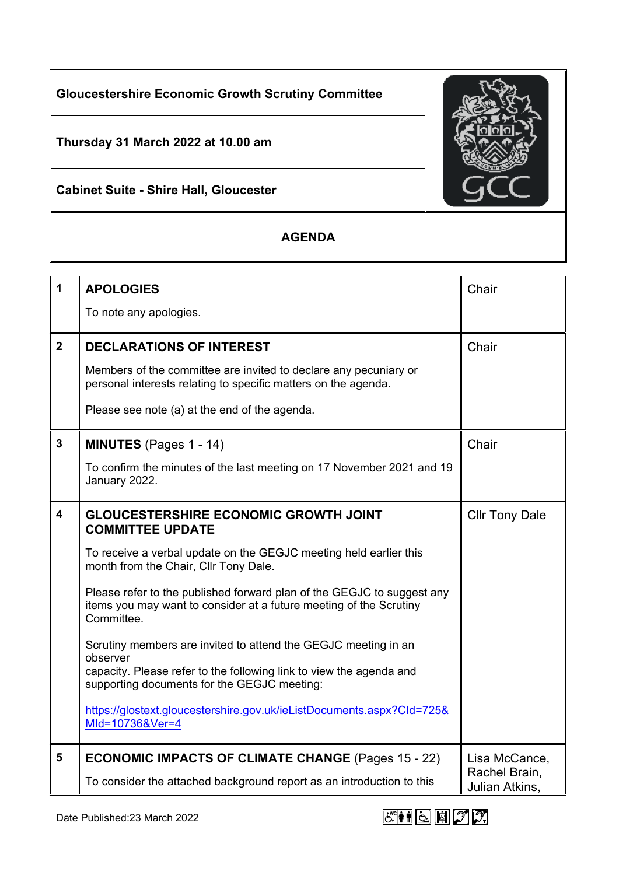**Gloucestershire Economic Growth Scrutiny Committee**

**Thursday 31 March 2022 at 10.00 am**

**Cabinet Suite - Shire Hall, Gloucester**

## **AGENDA**

| 1                       | <b>APOLOGIES</b>                                                                                                                                           | Chair                           |
|-------------------------|------------------------------------------------------------------------------------------------------------------------------------------------------------|---------------------------------|
|                         | To note any apologies.                                                                                                                                     |                                 |
| $\overline{2}$          | <b>DECLARATIONS OF INTEREST</b>                                                                                                                            | Chair                           |
|                         | Members of the committee are invited to declare any pecuniary or<br>personal interests relating to specific matters on the agenda.                         |                                 |
|                         | Please see note (a) at the end of the agenda.                                                                                                              |                                 |
| $\mathbf{3}$            | <b>MINUTES</b> (Pages 1 - 14)                                                                                                                              | Chair                           |
|                         | To confirm the minutes of the last meeting on 17 November 2021 and 19<br>January 2022.                                                                     |                                 |
| $\overline{\mathbf{4}}$ | <b>GLOUCESTERSHIRE ECONOMIC GROWTH JOINT</b><br><b>COMMITTEE UPDATE</b>                                                                                    | <b>Cllr Tony Dale</b>           |
|                         | To receive a verbal update on the GEGJC meeting held earlier this<br>month from the Chair, Cllr Tony Dale.                                                 |                                 |
|                         | Please refer to the published forward plan of the GEGJC to suggest any<br>items you may want to consider at a future meeting of the Scrutiny<br>Committee. |                                 |
|                         | Scrutiny members are invited to attend the GEGJC meeting in an<br>observer                                                                                 |                                 |
|                         | capacity. Please refer to the following link to view the agenda and<br>supporting documents for the GEGJC meeting:                                         |                                 |
|                         | https://glostext.gloucestershire.gov.uk/ieListDocuments.aspx?Cld=725&<br>MId=10736&Ver=4                                                                   |                                 |
| $5\phantom{1}$          | <b>ECONOMIC IMPACTS OF CLIMATE CHANGE (Pages 15 - 22)</b>                                                                                                  | Lisa McCance,                   |
|                         | To consider the attached background report as an introduction to this                                                                                      | Rachel Brain,<br>Julian Atkins, |



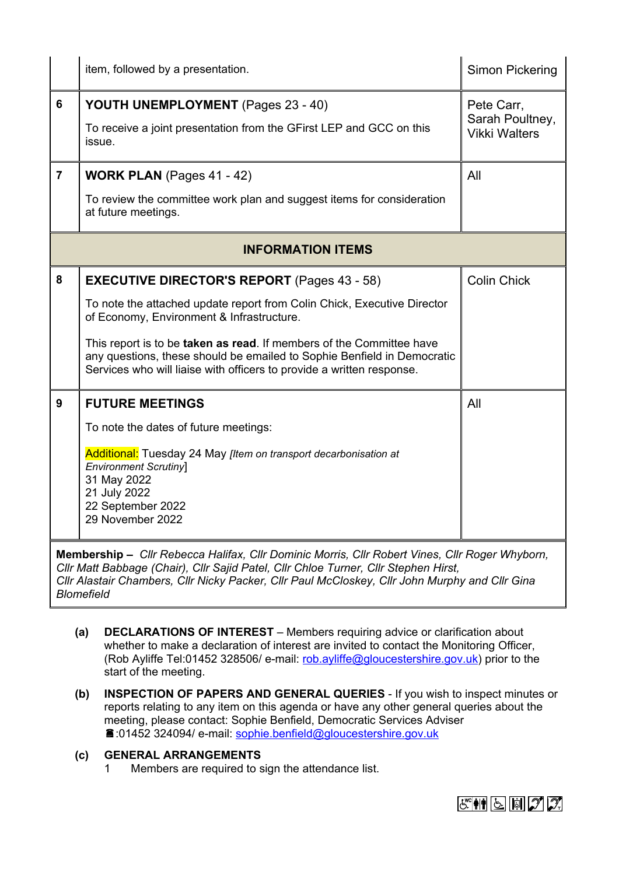|                                                                                                                                                                                                                                                                                                                                                                                                                                                                                                                                                  | item, followed by a presentation.                                                                                                                                                                                        | Simon Pickering                                       |  |
|--------------------------------------------------------------------------------------------------------------------------------------------------------------------------------------------------------------------------------------------------------------------------------------------------------------------------------------------------------------------------------------------------------------------------------------------------------------------------------------------------------------------------------------------------|--------------------------------------------------------------------------------------------------------------------------------------------------------------------------------------------------------------------------|-------------------------------------------------------|--|
| 6                                                                                                                                                                                                                                                                                                                                                                                                                                                                                                                                                | YOUTH UNEMPLOYMENT (Pages 23 - 40)<br>To receive a joint presentation from the GFirst LEP and GCC on this<br>issue.                                                                                                      | Pete Carr,<br>Sarah Poultney,<br><b>Vikki Walters</b> |  |
| $\overline{7}$                                                                                                                                                                                                                                                                                                                                                                                                                                                                                                                                   | <b>WORK PLAN</b> (Pages 41 - 42)                                                                                                                                                                                         | All                                                   |  |
|                                                                                                                                                                                                                                                                                                                                                                                                                                                                                                                                                  | To review the committee work plan and suggest items for consideration<br>at future meetings.                                                                                                                             |                                                       |  |
| <b>INFORMATION ITEMS</b>                                                                                                                                                                                                                                                                                                                                                                                                                                                                                                                         |                                                                                                                                                                                                                          |                                                       |  |
| 8                                                                                                                                                                                                                                                                                                                                                                                                                                                                                                                                                | <b>EXECUTIVE DIRECTOR'S REPORT</b> (Pages 43 - 58)                                                                                                                                                                       | <b>Colin Chick</b>                                    |  |
|                                                                                                                                                                                                                                                                                                                                                                                                                                                                                                                                                  | To note the attached update report from Colin Chick, Executive Director<br>of Economy, Environment & Infrastructure.                                                                                                     |                                                       |  |
|                                                                                                                                                                                                                                                                                                                                                                                                                                                                                                                                                  | This report is to be taken as read. If members of the Committee have<br>any questions, these should be emailed to Sophie Benfield in Democratic<br>Services who will liaise with officers to provide a written response. |                                                       |  |
| 9                                                                                                                                                                                                                                                                                                                                                                                                                                                                                                                                                | <b>FUTURE MEETINGS</b>                                                                                                                                                                                                   | All                                                   |  |
|                                                                                                                                                                                                                                                                                                                                                                                                                                                                                                                                                  | To note the dates of future meetings:                                                                                                                                                                                    |                                                       |  |
|                                                                                                                                                                                                                                                                                                                                                                                                                                                                                                                                                  | <b>Additional:</b> Tuesday 24 May [Item on transport decarbonisation at<br><b>Environment Scrutiny</b> ]<br>31 May 2022<br>21 July 2022<br>22 September 2022<br>29 November 2022                                         |                                                       |  |
| Membership - Cllr Rebecca Halifax, Cllr Dominic Morris, Cllr Robert Vines, Cllr Roger Whyborn,<br>$\mathcal{L}(\mathsf{D},\mathsf{L}) = \mathcal{L}(\mathsf{D},\mathsf{L}) = \mathcal{L}(\mathsf{D},\mathsf{L}) = \mathcal{L}(\mathsf{D},\mathsf{L}) = \mathcal{L}(\mathsf{D},\mathsf{L}) = \mathcal{L}(\mathsf{D},\mathsf{L}) = \mathcal{L}(\mathsf{D},\mathsf{L}) = \mathcal{L}(\mathsf{D},\mathsf{L}) = \mathcal{L}(\mathsf{D},\mathsf{L}) = \mathcal{L}(\mathsf{D},\mathsf{L}) = \mathcal{L}(\mathsf{D},\mathsf{L}) = \mathcal{L}(\mathsf{D$ |                                                                                                                                                                                                                          |                                                       |  |

*Cllr Matt Babbage (Chair), Cllr Sajid Patel, Cllr Chloe Turner, Cllr Stephen Hirst, Cllr Alastair Chambers, Cllr Nicky Packer, Cllr Paul McCloskey, Cllr John Murphy and Cllr Gina Blomefield*

- **(a) DECLARATIONS OF INTEREST** Members requiring advice or clarification about whether to make a declaration of interest are invited to contact the Monitoring Officer, (Rob Ayliffe Tel:01452 328506/ e-mail: [rob.ayliffe@gloucestershire.gov.uk\)](mailto:rob.ayliffe@gloucestershire.gov.uk) prior to the start of the meeting.
- **(b) INSPECTION OF PAPERS AND GENERAL QUERIES** If you wish to inspect minutes or reports relating to any item on this agenda or have any other general queries about the meeting, please contact: Sophie Benfield, Democratic Services Adviser :01452 324094/ e-mail: [sophie.benfield@gloucestershire.gov.uk](mailto:sophie.benfield@gloucestershire.gov.uk)

## **(c) GENERAL ARRANGEMENTS**

1 Members are required to sign the attendance list.